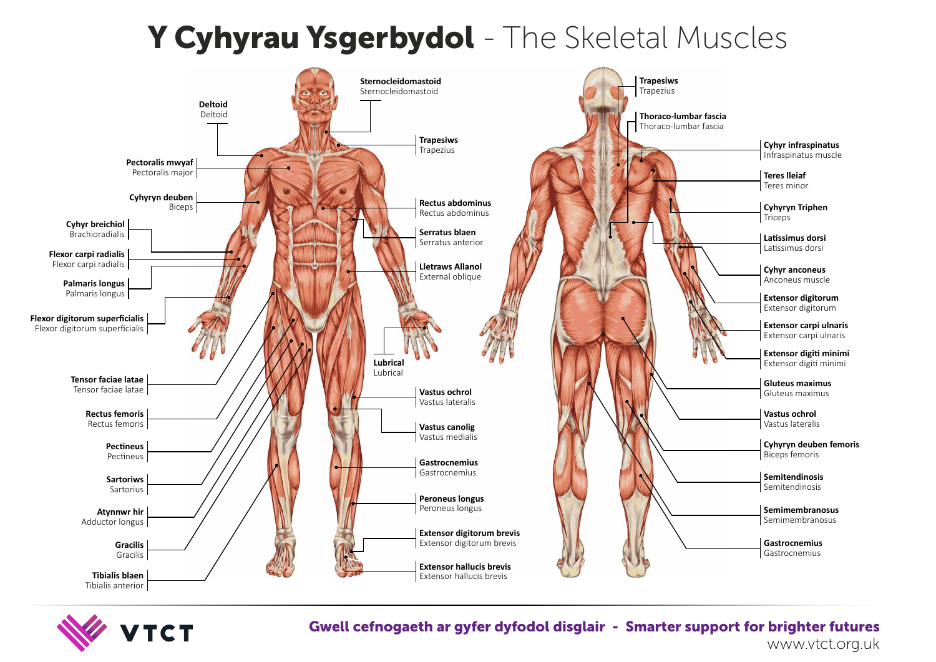Gwell cefnogaeth ar gyfer dyfodol disglair - Smarter support for brighter futures

www.vtct.org.uk

| <b>Trapesiws</b><br>Trapezius                         |                                                        |
|-------------------------------------------------------|--------------------------------------------------------|
| <b>Thoraco-lumbar fascia</b><br>Thoraco-lumbar fascia |                                                        |
|                                                       | <b>Cyhyr infraspinatus</b><br>Infraspinatus muscle     |
|                                                       | <b>Teres Ileiaf</b><br>Teres minor                     |
|                                                       | <b>Cyhyryn Triphen</b><br><b>Triceps</b>               |
|                                                       | Latissimus dorsi<br>Latissimus dorsi                   |
|                                                       | <b>Cyhyr anconeus</b><br>Anconeus muscle               |
|                                                       | <b>Extensor digitorum</b><br>Extensor digitorum        |
|                                                       | Extensor carpi ulnaris<br>Extensor carpi ulnaris       |
|                                                       | Extensor digiti minimi<br>Extensor digiti minimi       |
|                                                       | <b>Gluteus maximus</b><br>Gluteus maximus              |
|                                                       | <b>Vastus ochrol</b><br>Vastus lateralis               |
|                                                       | <b>Cyhyryn deuben femoris</b><br><b>Biceps femoris</b> |
|                                                       | <b>Semitendinosis</b><br>Semitendinosis                |
|                                                       | <b>Semimembranosus</b><br>Semimembranosus              |
| revis<br>evis                                         | <b>Gastrocnemius</b><br>Gastrocnemius                  |
| VIS<br>iς                                             |                                                        |

## Y Cyhyrau Ysgerbydol - The Skeletal Muscles